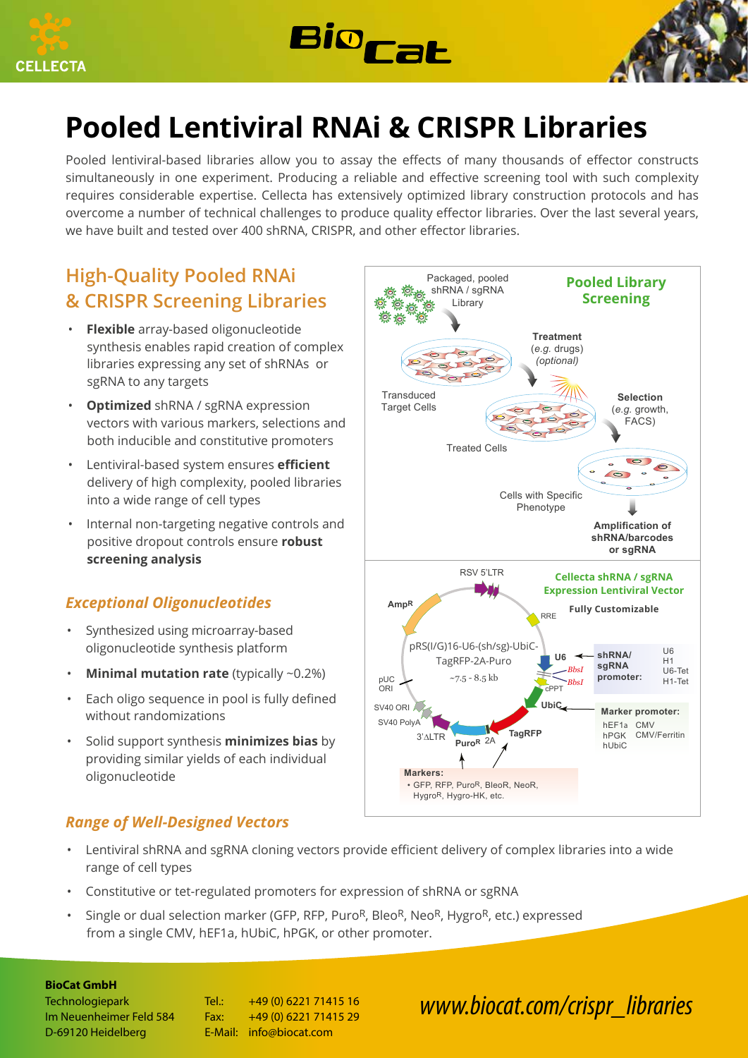





# **Pooled Lentiviral RNAi & CRISPR Libraries**

Pooled lentiviral-based libraries allow you to assay the effects of many thousands of effector constructs simultaneously in one experiment. Producing a reliable and effective screening tool with such complexity requires considerable expertise. Cellecta has extensively optimized library construction protocols and has overcome a number of technical challenges to produce quality effector libraries. Over the last several years, we have built and tested over 400 shRNA, CRISPR, and other effector libraries.

### **High-Quality Pooled RNAi & CRISPR Screening Libraries**

- **Flexible** array-based oligonucleotide synthesis enables rapid creation of complex libraries expressing any set of shRNAs or sgRNA to any targets
- **Optimized** shRNA / sgRNA expression vectors with various markers, selections and both inducible and constitutive promoters
- Lentiviral-based system ensures **efficient**  delivery of high complexity, pooled libraries into a wide range of cell types
- Internal non-targeting negative controls and positive dropout controls ensure **robust screening analysis**

### *Exceptional Oligonucleotides*

- Synthesized using microarray-based oligonucleotide synthesis platform
- **Minimal mutation rate** (typically ~0.2%)
- Each oligo sequence in pool is fully defined without randomizations
- Solid support synthesis **minimizes bias** by providing similar yields of each individual oligonucleotide

### *Range of Well-Designed Vectors*

- Packaged, pooled **Pooled Library** shRNA / sgRNA **Screening** Library **Treatment** (*e.g.* drugs) *(optional)* **Transduced Selection Target Cells** (*e.g.* growth, FACS) Treated Cells  $\overline{\bullet}$  $\sqrt{2}$ Cells with Specific Phenotype **Amplification of shRNA/barcodes or sgRNA** RSV 5'LTR **Cellecta shRNA / sgRNA Expression Lentiviral Vector AmpR Fully Customizable** RRE pRS(I/G)16-U6-(sh/sg)-UbiC- $\overline{116}$ **shRNA/ U6** TagRFP-2A-Puro  $H1$ **sgRNA** *BbsI* U6-Tet pUC  $~7.5 - 8.5$  kb **promoter:** H1-Tet *BbsI* ٦ **C**<br>CPPT ORI **UbiC** SV40 ORI **Marker promoter:** SV40 PolyA hEF1a CMV **TagRFP** hPGK CMV/Ferritin 3'∆LTR **PuroR** 2A hUbiC **Markers:** • GFP, RFP, Puro<sup>R</sup>, BleoR, NeoR, HygroR, Hygro-HK, etc.
- Lentiviral shRNA and sgRNA cloning vectors provide efficient delivery of complex libraries into a wide range of cell types
- Constitutive or tet-regulated promoters for expression of shRNA or sgRNA
- Single or dual selection marker (GFP, RFP, Puro<sup>R</sup>, Bleo<sup>R</sup>, Neo<sup>R</sup>, Hygro<sup>R</sup>, etc.) expressed from a single CMV, hEF1a, hUbiC, hPGK, or other promoter.

#### **BioCat GmbH**

Technologiepark Tel.: +49 (0) 6221 71415 16 Im Neuenheimer Feld 584 Fax: +49 (0) 6221 71415 29 D-69120 Heidelberg E-Mail: info@biocat.com

## *www.biocat.com/crispr\_libraries*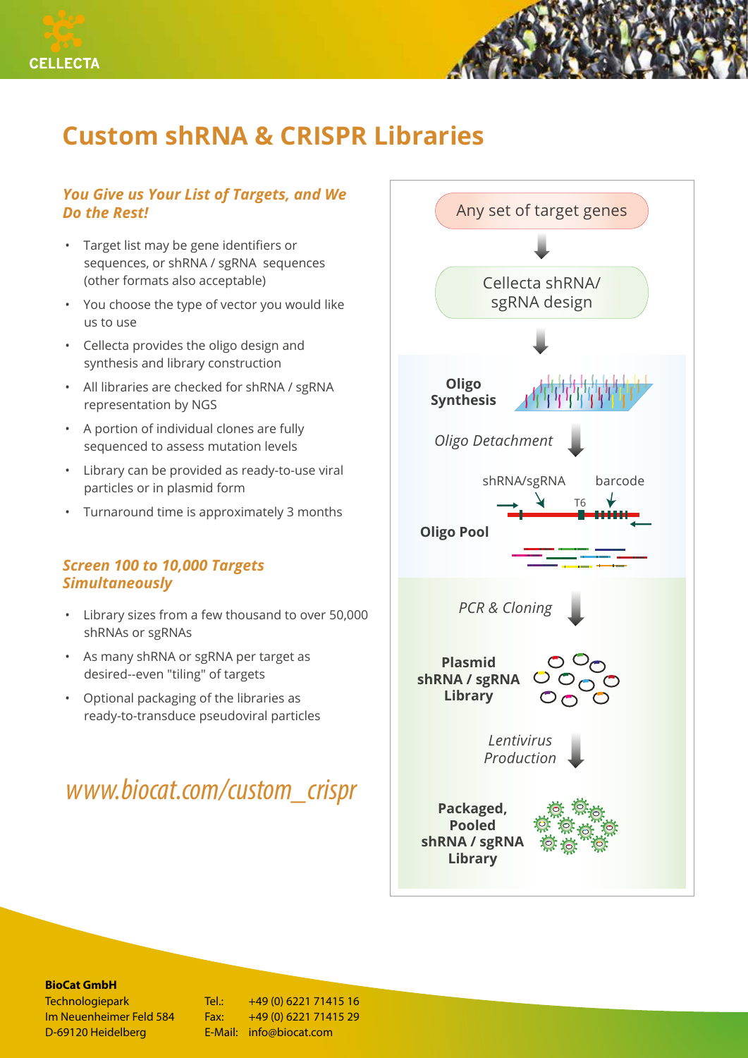

## **Custom shRNA & CRISPR Libraries**

### *You Give us Your List of Targets, and We Do the Rest!*

- Target list may be gene identifiers or sequences, or shRNA / sgRNA sequences (other formats also acceptable)
- You choose the type of vector you would like us to use
- Cellecta provides the oligo design and synthesis and library construction
- All libraries are checked for shRNA / sgRNA representation by NGS
- A portion of individual clones are fully sequenced to assess mutation levels
- Library can be provided as ready-to-use viral particles or in plasmid form
- Turnaround time is approximately 3 months

### *Screen 100 to 10,000 Targets Simultaneously*

- Library sizes from a few thousand to over 50,000 shRNAs or sgRNAs
- As many shRNA or sgRNA per target as desired--even "tiling" of targets
- Optional packaging of the libraries as ready-to-transduce pseudoviral particles

## *www.biocat.com/custom\_crispr*



#### **BioCat GmbH**

D-69120 Heidelberg **E-Mail:** info@biocat.com

Technologiepark Tel.: +49 (0) 6221 71415 16 Im Neuenheimer Feld 584 Fax: +49 (0) 6221 71415 29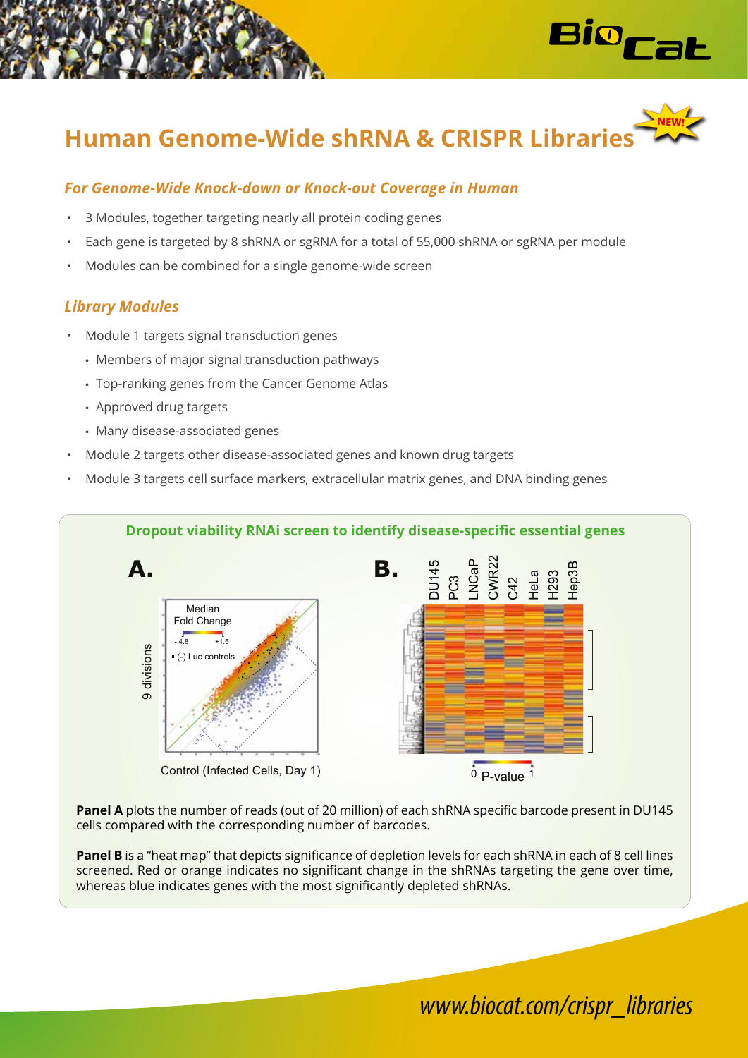



### *For Genome-Wide Knock-down or Knock-out Coverage in Human*

- 3 Modules, together targeting nearly all protein coding genes
- Each gene is targeted by 8 shRNA or sgRNA for a total of 55,000 shRNA or sgRNA per module
- Modules can be combined for a single genome-wide screen

### *Library Modules*

- Module 1 targets signal transduction genes
	- Members of major signal transduction pathways
	- Top-ranking genes from the Cancer Genome Atlas
	- Approved drug targets
	- Many disease-associated genes
- Module 2 targets other disease-associated genes and known drug targets
- Module 3 targets cell surface markers, extracellular matrix genes, and DNA binding genes



**Panel A** plots the number of reads (out of 20 million) of each shRNA specific barcode present in DU145 cells compared with the corresponding number of barcodes.

**Panel B** is a "heat map" that depicts significance of depletion levels for each shRNA in each of 8 cell lines screened. Red or orange indicates no significant change in the shRNAs targeting the gene over time, whereas blue indicates genes with the most significantly depleted shRNAs.

## *www.biocat.com/crispr\_libraries*